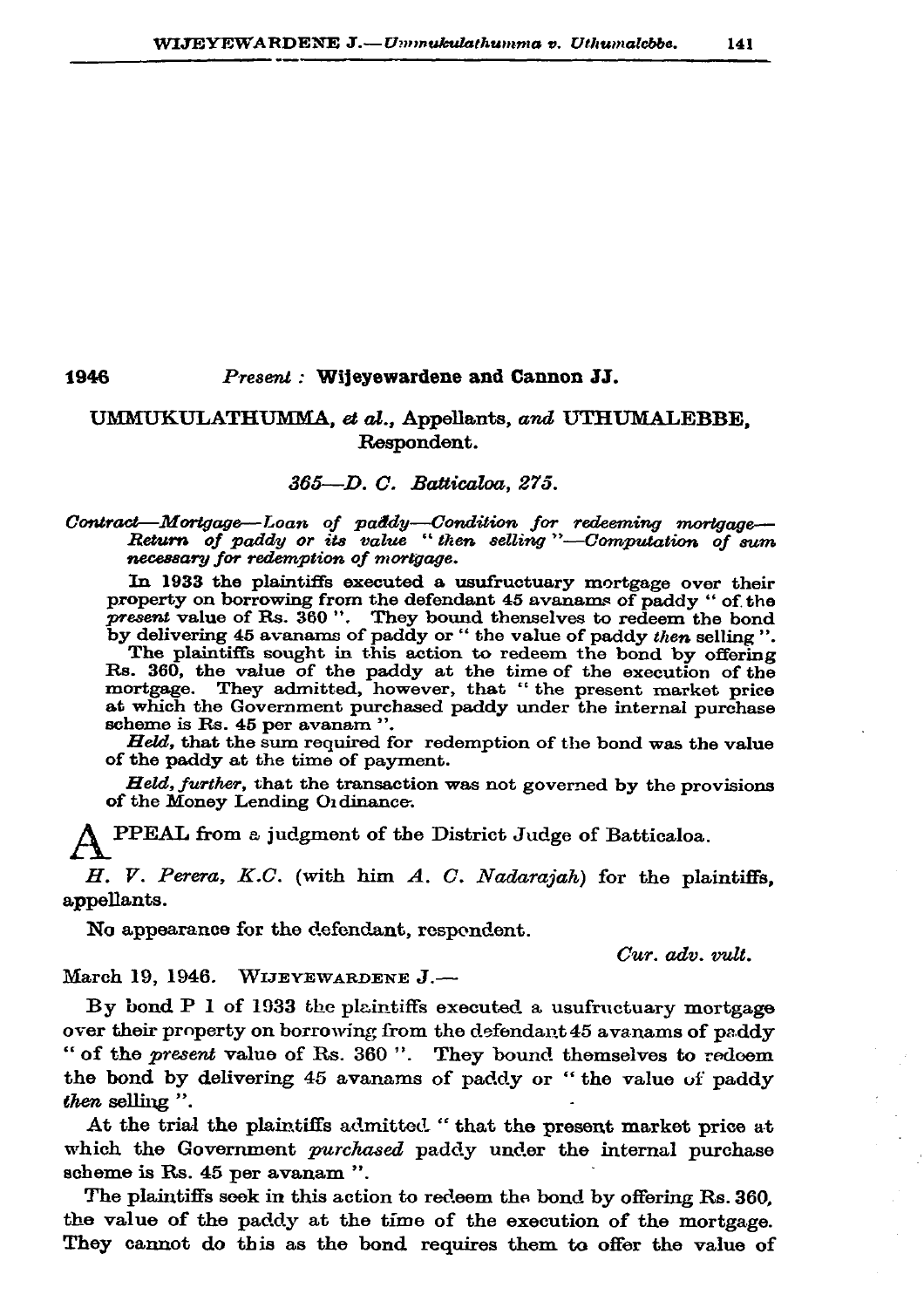1946

## Present: Wijeyewardene and Cannon JJ.

## UMMUKULATHUMMA, et al., Appellants, and UTHUMALEBBE. Respondent.

## 365-D. C. Batticaloa, 275.

## Contract—Mortgage—Loan of paddy—Condition for redeeming mortgage—<br>Return of paddy or its value "then selling"—Computation of sum necessary for redemption of mortgage.

In 1933 the plaintiffs executed a usufructuary mortgage over their property on borrowing from the defendant 45 avanams of paddy " of the present value of Rs. 360". They bound thenselves to redeem the bond<br>by delivering 45 avanams of paddy or "the value of paddy then selling".

The plaintiffs sought in this action to redeem the bond by offering Fig. 360, the value of the paddy at the time of the execution of the mortgage. They admitted, however, that " the present market price at which the Government purchased paddy under the internal purchase scheme is Rs. 45 per avanam ".

Held, that the sum required for redemption of the bond was the value of the paddy at the time of payment.

Held, further, that the transaction was not governed by the provisions of the Money Lending Ordinance.

PPEAL from a judgment of the District Judge of Batticaloa.

H. V. Perera, K.C. (with him A. C. Nadarajah) for the plaintiffs, appellants.

No appearance for the defendant, respondent.

Cur. adv. vult.

March 19, 1946. WIJEYEWARDENE J.-

By bond P 1 of 1933 the plaintiffs executed a usufructuary mortgage over their property on borrowing from the defendant 45 avanams of paddy " of the present value of Rs. 360". They bound themselves to redoem the bond by delivering 45 avanams of paddy or "the value of paddy then selling".

At the trial the plaintiffs admitted. "that the present market price at which the Government purchased paddy under the internal purchase scheme is Rs. 45 per avanam ".

The plaintiffs sook in this action to redeem the bond by offering Rs. 360, the value of the paddy at the time of the execution of the mortgage. They cannot do this as the bond requires them to offer the value of